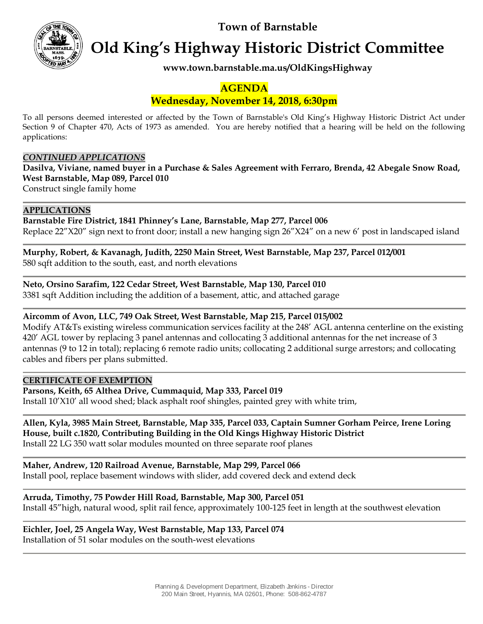**Town of Barnstable**



**Old King's Highway Historic District Committee**

**www.town.barnstable.ma.us/OldKingsHighway**

# **AGENDA**

# **Wednesday, November 14, 2018, 6:30pm**

To all persons deemed interested or affected by the Town of Barnstable's Old King's Highway Historic District Act under Section 9 of Chapter 470, Acts of 1973 as amended. You are hereby notified that a hearing will be held on the following applications:

## *CONTINUED APPLICATIONS*

**Dasilva, Viviane, named buyer in a Purchase & Sales Agreement with Ferraro, Brenda, 42 Abegale Snow Road, West Barnstable, Map 089, Parcel 010**

Construct single family home

## **APPLICATIONS**

**Barnstable Fire District, 1841 Phinney's Lane, Barnstable, Map 277, Parcel 006** Replace 22"X20" sign next to front door; install a new hanging sign 26"X24" on a new 6' post in landscaped island

**Murphy, Robert, & Kavanagh, Judith, 2250 Main Street, West Barnstable, Map 237, Parcel 012/001** 580 sqft addition to the south, east, and north elevations

**Neto, Orsino Sarafim, 122 Cedar Street, West Barnstable, Map 130, Parcel 010**

3381 sqft Addition including the addition of a basement, attic, and attached garage

# **Aircomm of Avon, LLC, 749 Oak Street, West Barnstable, Map 215, Parcel 015/002**

Modify AT&Ts existing wireless communication services facility at the 248' AGL antenna centerline on the existing 420' AGL tower by replacing 3 panel antennas and collocating 3 additional antennas for the net increase of 3 antennas (9 to 12 in total); replacing 6 remote radio units; collocating 2 additional surge arrestors; and collocating cables and fibers per plans submitted.

### **CERTIFICATE OF EXEMPTION**

**Parsons, Keith, 65 Althea Drive, Cummaquid, Map 333, Parcel 019**

Install 10'X10' all wood shed; black asphalt roof shingles, painted grey with white trim,

#### **Allen, Kyla, 3985 Main Street, Barnstable, Map 335, Parcel 033, Captain Sumner Gorham Peirce, Irene Loring House, built c.1820, Contributing Building in the Old Kings Highway Historic District** Install 22 LG 350 watt solar modules mounted on three separate roof planes

**Maher, Andrew, 120 Railroad Avenue, Barnstable, Map 299, Parcel 066**

Install pool, replace basement windows with slider, add covered deck and extend deck

# **Arruda, Timothy, 75 Powder Hill Road, Barnstable, Map 300, Parcel 051**

Install 45"high, natural wood, split rail fence, approximately 100-125 feet in length at the southwest elevation

**Eichler, Joel, 25 Angela Way, West Barnstable, Map 133, Parcel 074** Installation of 51 solar modules on the south-west elevations